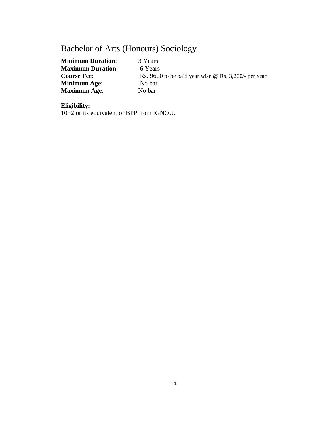# Bachelor of Arts (Honours) Sociology

**Minimum Duration:** 3 Years **Maximum Duration:** 6 Years **Course Fee:** Rs. 9600 to be paid year wise @ Rs. 3,200/- per year **Minimum Age**: No bar **Maximum Age**: No bar

# **Eligibility:**

10+2 or its equivalent or BPP from IGNOU.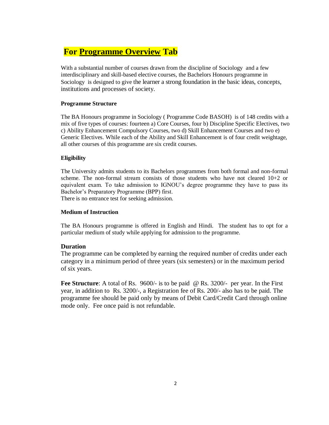# **For Programme Overview Tab**

With a substantial number of courses drawn from the discipline of Sociology and a few interdisciplinary and skill-based elective courses, the Bachelors Honours programme in Sociology is designed to give the learner a strong foundation in the basic ideas, concepts, institutions and processes of society.

### **Programme Structure**

The BA Honours programme in Sociology ( Programme Code BASOH) is of 148 credits with a mix of five types of courses: fourteen a) Core Courses, four b) Discipline Specific Electives, two c) Ability Enhancement Compulsory Courses, two d) Skill Enhancement Courses and two e) Generic Electives. While each of the Ability and Skill Enhancement is of four credit weightage, all other courses of this programme are six credit courses.

### **Eligibility**

The University admits students to its Bachelors programmes from both formal and non-formal scheme. The non-formal stream consists of those students who have not cleared 10+2 or equivalent exam. To take admission to IGNOU's degree programme they have to pass its Bachelor's Preparatory Programme (BPP) first.

There is no entrance test for seeking admission.

### **Medium of Instruction**

The BA Honours programme is offered in English and Hindi. The student has to opt for a particular medium of study while applying for admission to the programme.

# **Duration**

The programme can be completed by earning the required number of credits under each category in a minimum period of three years (six semesters) or in the maximum period of six years.

**Fee Structure**: A total of Rs. 9600/- is to be paid @ Rs. 3200/- per year. In the First year, in addition to Rs. 3200/-, a Registration fee of Rs. 200/- also has to be paid. The programme fee should be paid only by means of Debit Card/Credit Card through online mode only. Fee once paid is not refundable.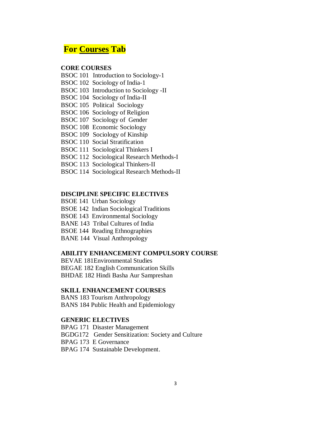# **For Courses Tab**

# **CORE COURSES**

- BSOC 101 Introduction to Sociology-1
- BSOC 102 Sociology of India-1
- BSOC 103 Introduction to Sociology -II
- BSOC 104 Sociology of India-II
- BSOC 105 Political Sociology
- BSOC 106 Sociology of Religion
- BSOC 107 Sociology of Gender
- BSOC 108 Economic Sociology
- BSOC 109 Sociology of Kinship
- BSOC 110 Social Stratification
- BSOC 111 Sociological Thinkers I
- BSOC 112 Sociological Research Methods-I
- BSOC 113 Sociological Thinkers-II
- BSOC 114 Sociological Research Methods-II

### **DISCIPLINE SPECIFIC ELECTIVES**

- BSOE 141 Urban Sociology
- BSOE 142 Indian Sociological Traditions
- BSOE 143 Environmental Sociology
- BANE 143 Tribal Cultures of India
- BSOE 144 Reading Ethnographies
- BANE 144 Visual Anthropology

## **ABILITY ENHANCEMENT COMPULSORY COURSE**

BEVAE 181Environmental Studies

BEGAE 182 English Communication Skills

BHDAE 182 Hindi Basha Aur Sampreshan

### **SKILL ENHANCEMENT COURSES**

BANS 183 Tourism Anthropology BANS 184 Public Health and Epidemiology

## **GENERIC ELECTIVES**

- BPAG 171 Disaster Management
- BGDG172 Gender Sensitization: Society and Culture
- BPAG 173 E Governance
- BPAG 174 Sustainable Development.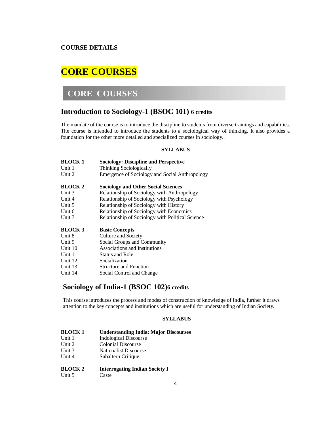# **COURSE DETAILS**

# **CORE COURSES**

# **CORE COURSES**

# **Introduction to Sociology-1 (BSOC 101) 6 credits**

The mandate of the course is to introduce the discipline to students from diverse trainings and capabilities. The course is intended to introduce the students to a sociological way of thinking. It also provides a foundation for the other more detailed and specialized courses in sociology..

#### **SYLLABUS**

| <b>BLOCK1</b>  | <b>Sociology: Discipline and Perspective</b>     |
|----------------|--------------------------------------------------|
| Unit 1         | Thinking Sociologically                          |
| Unit 2         | Emergence of Sociology and Social Anthropology   |
|                |                                                  |
| <b>BLOCK 2</b> | <b>Sociology and Other Social Sciences</b>       |
| Unit 3         | Relationship of Sociology with Anthropology      |
| Unit $4$       | Relationship of Sociology with Psychology        |
| Unit 5         | Relationship of Sociology with History           |
| Unit 6         | Relationship of Sociology with Economics         |
| Unit 7         | Relationship of Sociology with Political Science |
| <b>BLOCK 3</b> | <b>Basic Concepts</b>                            |
| Unit 8         | Culture and Society                              |
| Unit 9         | Social Groups and Community                      |
| Unit 10        | Associations and Institutions                    |
| Unit 11        | <b>Status and Role</b>                           |
| Unit 12        | Socialization                                    |
| Unit 13        | <b>Structure and Function</b>                    |
| Unit 14        | Social Control and Change                        |
|                |                                                  |

# **Sociology of India-1 (BSOC 102)6 credits**

This course introduces the process and modes of construction of knowledge of India, further it draws attention to the key concepts and institutions which are useful for understanding of Indian Society.

| <b>BLOCK1</b>  | <b>Understanding India: Major Discourses</b> |
|----------------|----------------------------------------------|
| Unit 1         | <b>Indological Discourse</b>                 |
| Unit 2         | <b>Colonial Discourse</b>                    |
| Unit 3         | <b>Nationalist Discourse</b>                 |
| Unit 4         | Subaltern Critique                           |
| <b>BLOCK 2</b> | <b>Interrogating Indian Society I</b>        |
| Unit 5         | Caste                                        |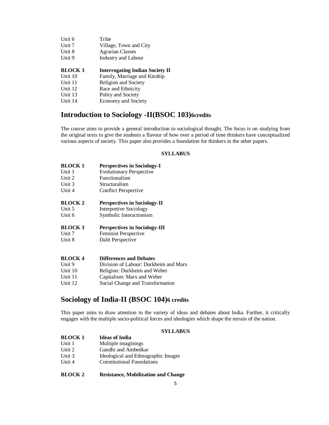| Unit 6         | Tribe                                  |
|----------------|----------------------------------------|
| Unit 7         | Village, Town and City                 |
| Unit 8         | <b>Agrarian Classes</b>                |
| Unit 9         | <b>Industry and Labour</b>             |
|                |                                        |
|                |                                        |
| <b>BLOCK 3</b> | <b>Interrogating Indian Society II</b> |
| Unit 10        | Family, Marriage and Kinship           |
| Unit 11        | Religion and Society                   |
| Unit 12        | Race and Ethnicity                     |
| Unit 13        | Polity and Society                     |

# **Introduction to Sociology -II(BSOC 103)6credits**

The course aims to provide a general introduction to sociological thought. The focus is on studying from the original texts to give the students a flavour of how over a period of time thinkers have conceptualized various aspects of society. This paper also provides a foundation for thinkers in the other papers.

#### **SYLLABUS**

| <b>BLOCK1</b>  | <b>Perspectives in Sociology-I</b>   |
|----------------|--------------------------------------|
| Unit 1         | <b>Evolutionary Perspective</b>      |
| Unit 2         | Functionalism                        |
| Unit $3$       | Structuralism                        |
| Unit 4         | <b>Conflict Perspective</b>          |
| <b>BLOCK 2</b> | <b>Perspectives in Sociology-II</b>  |
| Unit 5         | <b>Interpretive Sociology</b>        |
| Unit 6         | Symbolic Interactionism              |
| <b>BLOCK 3</b> | <b>Perspectives in Sociology-III</b> |
| Unit 7         | Feminist Perspective                 |
| Unit 8         | Dalit Perspective                    |
| <b>BLOCK 4</b> | <b>Differences and Debates</b>       |

| Unit 9  | Division of Labour: Durkheim and Marx |
|---------|---------------------------------------|
| Unit 10 | Religion: Durkheim and Weber          |
| Unit 11 | Capitalism: Marx and Weber            |
| Unit 12 | Social Change and Transformation      |

# **Sociology of India-II (BSOC 104)6 credits**

This paper aims to draw attention to the variety of ideas and debates about India. Further, it critically engages with the multiple socio-political forces and ideologies which shape the terrain of the nation.

#### **SYLLABUS**

| <b>BLOCK 1</b> | <b>Ideas of India</b>               |
|----------------|-------------------------------------|
| Unit 1         | Multiple imaginings                 |
| Unit $2$       | Gandhi and Ambedkar                 |
| Unit $3$       | Ideological and Ethnographic Images |
| Unit $4$       | <b>Constitutional Foundations</b>   |
|                |                                     |

**BLOCK 2 Resistance, Mobilization and Change**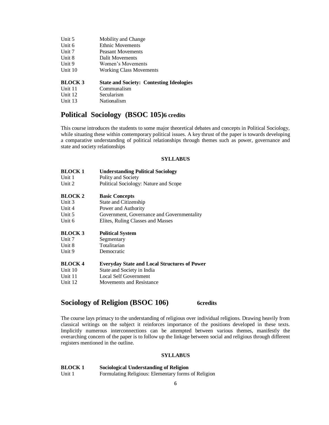| Unit 5         | Mobility and Change                             |
|----------------|-------------------------------------------------|
| Unit 6         | <b>Ethnic Movements</b>                         |
| Unit $7$       | Peasant Movements                               |
| Unit 8         | Dalit Movements                                 |
| Unit 9         | Women's Movements                               |
| Unit 10        | <b>Working Class Movements</b>                  |
| <b>BLOCK 3</b> | <b>State and Society: Contesting Ideologies</b> |
| Unit 11        | Communalism                                     |
| Unit 12        | Secularism                                      |

# **Political Sociology (BSOC 105)6 credits**

Unit 13 Nationalism

This course introduces the students to some major theoretical debates and concepts in Political Sociology, while situating these within contemporary political issues. A key thrust of the paper is towards developing a comparative understanding of political relationships through themes such as power, governance and state and society relationships

#### **SYLLABUS**

| <b>BLOCK1</b>  | <b>Understanding Political Sociology</b>            |
|----------------|-----------------------------------------------------|
| Unit 1         | Polity and Society                                  |
| Unit 2         | Political Sociology: Nature and Scope               |
| <b>BLOCK 2</b> | <b>Basic Concepts</b>                               |
| Unit 3         | State and Citizenship                               |
| Unit 4         | Power and Authority                                 |
| Unit 5         | Government, Governance and Governmentality          |
| Unit 6         | Elites, Ruling Classes and Masses                   |
| <b>BLOCK 3</b> | <b>Political System</b>                             |
| Unit $7$       | Segmentary                                          |
|                | Totalitarian                                        |
| Unit 8         |                                                     |
| Unit 9         | Democratic                                          |
| <b>BLOCK4</b>  | <b>Everyday State and Local Structures of Power</b> |
| Unit 10        | State and Society in India                          |
| Unit 11        | Local Self Government                               |
| Unit 12        | Movements and Resistance                            |

# **Sociology of Religion (BSOC 106) 6credits**

The course lays primacy to the understanding of religious over individual religions. Drawing heavily from classical writings on the subject it reinforces importance of the positions developed in these texts. Implicitly numerous interconnections can be attempted between various themes, manifestly the overarching concern of the paper is to follow up the linkage between social and religious through different registers mentioned in the outline.

#### **SYLLABUS**

#### **BLOCK 1 Sociological Understanding of Religion**

Unit 1 Formulating Religious: Elementary forms of Religion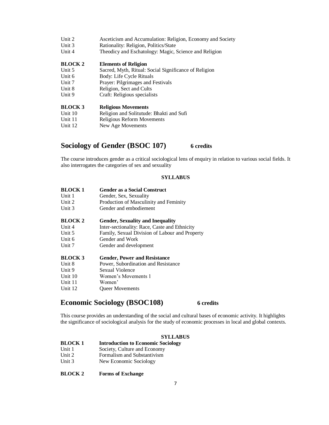| Unit 2         | Asceticism and Accumulation: Religion, Economy and Society |
|----------------|------------------------------------------------------------|
| Unit 3         | Rationality: Religion, Politics/State                      |
| Unit $4$       | Theodicy and Eschatology: Magic, Science and Religion      |
| <b>BLOCK 2</b> | <b>Elements of Religion</b>                                |
| Unit 5         | Sacred, Myth, Ritual: Social Significance of Religion      |
| Unit 6         | Body: Life Cycle Rituals                                   |
| Unit 7         | Prayer: Pilgrimages and Festivals                          |
| Unit 8         | Religion, Sect and Cults                                   |
| Unit 9         | Craft: Religious specialists                               |
| <b>BLOCK 3</b> | <b>Religious Movements</b>                                 |
| Unit 10        | Religion and Solitutude: Bhakti and Sufi                   |
| Unit 11        | Religious Reform Movements                                 |
| Unit 12        | New Age Movements                                          |
|                |                                                            |

# **Sociology of Gender (BSOC 107) 6 credits**

The course introduces gender as a critical sociological lens of enquiry in relation to various social fields. It also interrogates the categories of sex and sexuality

### **SYLLABUS**

| <b>BLOCK1</b>  | <b>Gender as a Social Construct</b>            |
|----------------|------------------------------------------------|
| Unit 1         | Gender, Sex, Sexuality                         |
| Unit 2         | Production of Masculinity and Feminity         |
| Unit 3         | Gender and embodiement                         |
| <b>BLOCK 2</b> | <b>Gender, Sexuality and Inequality</b>        |
| Unit 4         | Inter-sectionality: Race, Caste and Ethnicity  |
| Unit 5         | Family, Sexual Division of Labour and Property |
| Unit 6         | Gender and Work                                |
| Unit 7         | Gender and development                         |
| <b>BLOCK 3</b> | <b>Gender, Power and Resistance</b>            |
| Unit 8         | Power, Subordination and Resistance            |
| Unit 9         | Sexual Violence                                |
| Unit 10        | Women's Movements 1                            |
| Unit 11        | Women'                                         |
| Unit 12        | <b>Oueer Movements</b>                         |

# **Economic Sociology (BSOC108) 6 credits**

This course provides an understanding of the social and cultural bases of economic activity. It highlights the significance of sociological analysis for the study of economic processes in local and global contexts.

| <b>BLOCK1</b> | <b>Introduction to Economic Sociology</b> |  |
|---------------|-------------------------------------------|--|
| TT 7.4        | $\sim$ $\sim$ $\sim$                      |  |

- Unit 1 Society, Culture and Economy
- Unit 2 Formalism and Substantivism
- Unit 3 New Economic Sociology
- **BLOCK 2 Forms of Exchange**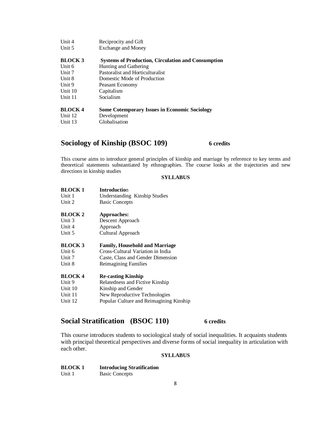| Unit $4$      | Reciprocity and Gift                                      |
|---------------|-----------------------------------------------------------|
| Unit 5        | <b>Exchange and Money</b>                                 |
| <b>BLOCK3</b> | <b>Systems of Production, Circulation and Consumption</b> |
| Unit 6        | Hunting and Gathering                                     |
| Unit 7        | Pastoralist and Horticulturalist                          |
| Unit 8        | Domestic Mode of Production                               |
| Unit 9        | Peasant Economy                                           |
| Unit $10$     | Capitalism                                                |
| Unit 11       | Socialism                                                 |
|               |                                                           |
| <b>BLOCK4</b> | <b>Some Cotemporary Issues in Economic Sociology</b>      |
| Unit 12       | Development                                               |
| Unit 13       | Globalisation                                             |
|               |                                                           |

# **Sociology of Kinship (BSOC 109) 6 credits**

This course aims to introduce general principles of kinship and marriage by reference to key terms and theoretical statements substantiated by ethnographies. The course looks at the trajectories and new directions in kinship studies

### **SYLLABUS**

| <b>BLOCK1</b>  | <b>Introduction</b>                     |
|----------------|-----------------------------------------|
| Unit 1         | Understanding Kinship Studies           |
| Unit 2         | <b>Basic Concepts</b>                   |
| <b>BLOCK 2</b> | Approaches:                             |
| Unit 3         | Descent Approach                        |
| Unit 4         | Approach                                |
| Unit 5         | Cultural Approach                       |
| <b>BLOCK 3</b> | <b>Family, Household and Marriage</b>   |
| Unit 6         | Cross-Cultural Variation in India       |
| Unit 7         | Caste, Class and Gender Dimension       |
| Unit 8         | Reimagining Families                    |
| <b>BLOCK4</b>  | <b>Re-casting Kinship</b>               |
| Unit 9         | Relatedness and Fictive Kinship         |
| Unit 10        | Kinship and Gender                      |
| Unit 11        | New Reproductive Technologies           |
| Unit 12        | Popular Culture and Reimagining Kinship |
|                |                                         |

# **Social Stratification (BSOC 110) 6 credits**

This course introduces students to sociological study of social inequalities. It acquaints students with principal theoretical perspectives and diverse forms of social inequality in articulation with each other.

| <b>BLOCK1</b> | <b>Introducing Stratification</b> |
|---------------|-----------------------------------|
| Unit 1        | <b>Basic Concepts</b>             |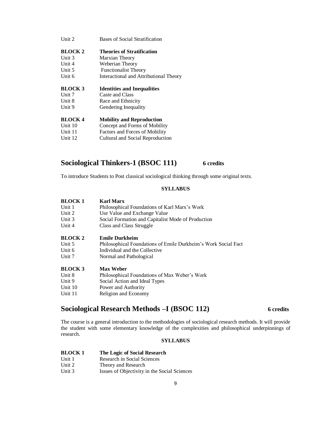| Unit 2         | Bases of Social Stratification         |
|----------------|----------------------------------------|
| <b>BLOCK 2</b> | Theories of Stratification             |
| Unit $3$       | Marxian Theory                         |
| Unit 4         | Weberian Theory                        |
| Unit 5         | <b>Functionalist Theory</b>            |
| Unit 6         | Interactional and Attributional Theory |
| <b>BLOCK 3</b> | <b>Identities and Inequalities</b>     |
| Unit 7         | Caste and Class                        |
| Unit 8         | Race and Ethnicity                     |
| Unit 9         | Gendering Inequality                   |
| <b>BLOCK4</b>  | <b>Mobility and Reproduction</b>       |
| Unit $10$      | Concept and Forms of Mobility          |
| Unit 11        | Factors and Forces of Mobility         |
| Unit 12        | Cultural and Social Reproduction       |
|                |                                        |

# **Sociological Thinkers-1 (BSOC 111) 6 credits**

To introduce Students to Post classical sociological thinking through some original texts.

#### **SYLLABUS**

| <b>BLOCK1</b><br>Unit 1 | Karl Marx<br>Philosophical Foundations of Karl Marx's Work     |
|-------------------------|----------------------------------------------------------------|
| Unit 2                  | Use Value and Exchange Value                                   |
| Unit 3                  | Social Formation and Capitalist Mode of Production             |
| Unit 4                  | Class and Class Struggle                                       |
| <b>BLOCK 2</b>          | <b>Emile Durkheim</b>                                          |
| Unit 5                  | Philosophical Foundations of Emile Durkheim's Work Social Fact |
| Unit $6$                | Individual and the Collective                                  |
| Unit 7                  | Normal and Pathological                                        |
| <b>BLOCK 3</b>          | <b>Max Weber</b>                                               |
| Unit 8                  | Philosophical Foundations of Max Weber's Work                  |
| Unit 9                  | Social Action and Ideal Types                                  |
| Unit 10                 | Power and Authority                                            |
| Unit 11                 | Religion and Economy                                           |

# **Sociological Research Methods –I (BSOC 112) 6 credits**

The course is a general introduction to the methodologies of sociological research methods. It will provide the student with some elementary knowledge of the complexities and philosophical underpinnings of research.

| BLOCK 1 | The Logic of Social Research |  |
|---------|------------------------------|--|
|         |                              |  |

- Unit 1 Research in Social Sciences
- Unit 2 Theory and Research
- Unit 3 **Issues of Objectivity in the Social Sciences**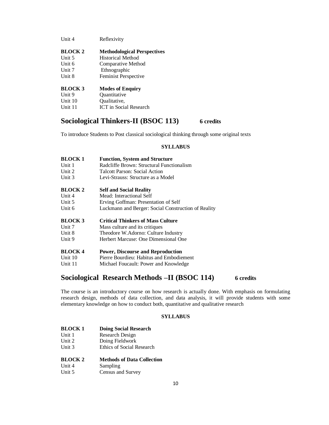| <b>BLOCK 2</b> | <b>Methodological Perspectives</b> |
|----------------|------------------------------------|
|                |                                    |
| Unit $5$       | <b>Historical Method</b>           |
| Unit 6         | Comparative Method                 |
| Unit 7         | Ethnographic                       |
| Unit 8         | Feminist Perspective               |
| <b>BLOCK 3</b> | <b>Modes of Enquiry</b>            |
| Unit 9         | Quantitative                       |
| Unit 10        | Qualitative,                       |
| Unit 11        | <b>ICT</b> in Social Research      |

# **Sociological Thinkers-II (BSOC 113) 6 credits**

To introduce Students to Post classical sociological thinking through some original texts

#### **SYLLABUS**

| <b>BLOCK1</b>  | <b>Function, System and Structure</b>               |
|----------------|-----------------------------------------------------|
| Unit 1         | Radcliffe Brown: Structural Functionalism           |
| Unit 2         | Talcott Parson: Social Action                       |
| Unit 3         | Levi-Strauss: Structure as a Model                  |
| <b>BLOCK 2</b> | <b>Self and Social Reality</b>                      |
| Unit 4         | Mead: Interactional Self                            |
| Unit 5         | Erving Goffman: Presentation of Self                |
| Unit 6         | Luckmann and Berger: Social Construction of Reality |
| <b>BLOCK 3</b> | <b>Critical Thinkers of Mass Culture</b>            |
| Unit 7         | Mass culture and its critiques                      |
| Unit 8         | Theodore W.Adorno: Culture Industry                 |
| Unit 9         | Herbert Marcuse: One Dimensional One                |
| <b>BLOCK4</b>  | <b>Power, Discourse and Reproduction</b>            |
| Unit 10        | Pierre Bourdieu: Habitus and Embodiement            |
| Unit 11        | Michael Foucault: Power and Knowledge               |

# **Sociological Research Methods –II (BSOC 114) 6 credits**

The course is an introductory course on how research is actually done. With emphasis on formulating research design, methods of data collection, and data analysis, it will provide students with some elementary knowledge on how to conduct both, quantitative and qualitative research

| <b>BLOCK1</b> | <b>Doing Social Research</b>      |
|---------------|-----------------------------------|
| Unit 1        | Research Design                   |
| Unit $2$      | Doing Fieldwork                   |
| Unit 3        | <b>Ethics of Social Research</b>  |
| <b>BLOCK2</b> | <b>Methods of Data Collection</b> |
| Unit 4        | Sampling                          |
| Unit 5        | Census and Survey                 |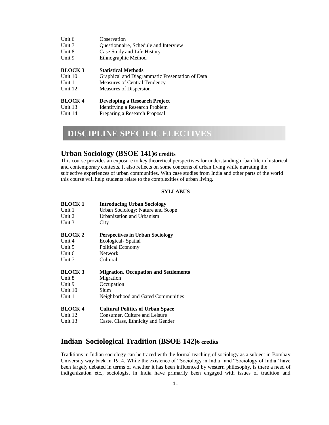| Unit 6         | Observation                                     |
|----------------|-------------------------------------------------|
| Unit 7         | Questionnaire, Schedule and Interview           |
| Unit 8         | Case Study and Life History                     |
| Unit 9         | Ethnographic Method                             |
|                |                                                 |
| <b>BLOCK 3</b> | <b>Statistical Methods</b>                      |
| Unit 10        | Graphical and Diagrammatic Presentation of Data |
| Unit 11        | Measures of Central Tendency                    |
| Unit 12        | Measures of Dispersion                          |
|                |                                                 |
| <b>BLOCK4</b>  | Developing a Research Project                   |
| Unit 13        | Identifying a Research Problem                  |
| Unit 14        | Preparing a Research Proposal                   |
|                |                                                 |

# **DISCIPLINE SPECIFIC ELECTIVES**

# **Urban Sociology (BSOE 141)6 credits**

This course provides an exposure to key theoretical perspectives for understanding urban life in historical and contemporary contexts. It also reflects on some concerns of urban living while narrating the subjective experiences of urban communities. With case studies from India and other parts of the world this course will help students relate to the complexities of urban living.

### **SYLLABUS**

| <b>BLOCK1</b>  | <b>Introducing Urban Sociology</b>           |
|----------------|----------------------------------------------|
| Unit 1         | Urban Sociology: Nature and Scope            |
| Unit 2         | Urbanization and Urbanism                    |
| Unit 3         | City                                         |
| <b>BLOCK 2</b> | <b>Perspectives in Urban Sociology</b>       |
| Unit 4         | Ecological-Spatial                           |
| Unit 5         | Political Economy                            |
| Unit 6         | <b>Network</b>                               |
| Unit 7         | Cultural                                     |
| <b>BLOCK 3</b> | <b>Migration, Occupation and Settlements</b> |
| Unit 8         | Migration                                    |
| Unit 9         | Occupation                                   |
| Unit 10        | Slum                                         |
| Unit 11        | Neighborhood and Gated Communities           |
| <b>BLOCK4</b>  | <b>Cultural Politics of Urban Space</b>      |
| Unit 12        | Consumer, Culture and Leisure                |
| Unit 13        | Caste, Class, Ethnicity and Gender           |

# **Indian Sociological Tradition (BSOE 142)6 credits**

Traditions in Indian sociology can be traced with the formal teaching of sociology as a subject in Bombay University way back in 1914. While the existence of "Sociology in India" and "Sociology of India" have been largely debated in terms of whether it has been influenced by western philosophy, is there a need of indigenization etc., sociologist in India have primarily been engaged with issues of tradition and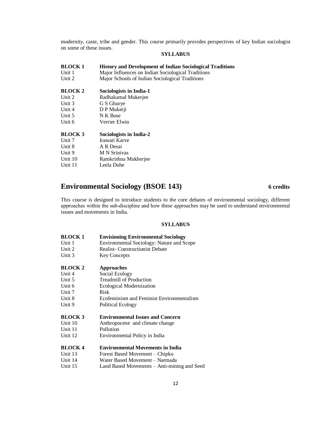modernity, caste, tribe and gender. This course primarily provides perspectives of key Indian sociologist on some of these issues.

#### **SYLLABUS**

| <b>BLOCK1</b>  | <b>History and Development of Indian Sociological Traditions</b> |
|----------------|------------------------------------------------------------------|
| Unit 1         | Major Influences on Indian Sociological Traditions               |
| Unit $2$       | Major Schools of Indian Sociological Traditions                  |
| <b>BLOCK 2</b> | Sociologists in India-1                                          |
| Unit 2         | Radhakamal Mukerjee                                              |
| Unit 3         | G S Ghurye                                                       |
| Unit 4         | D P Mukerji                                                      |
| Unit 5         | N K Bose                                                         |
| Unit 6         | Verrier Elwin                                                    |
| <b>BLOCK 3</b> | Sociologists in India-2                                          |

| BLOCK 3 | Sociologists in India-2 |
|---------|-------------------------|
| Unit 7  | Irawati Karve           |
| Unit 8  | A R Desai               |
| Unit 9  | <b>M</b> N Srinivas     |
| Unit 10 | Ramkrishna Mukherjee    |
| Unit 11 | Leela Dube              |
|         |                         |

# **Environmental Sociology (BSOE 143) 6 credits**

This course is designed to introduce students to the core debates of environmental sociology, different approaches within the sub‐discipline and how these approaches may be used to understand environmental issues and movements in India.

| <b>BLOCK1</b>  | <b>Envisioning Environmental Sociology</b>  |  |
|----------------|---------------------------------------------|--|
| Unit 1         | Environmental Sociology: Nature and Scope   |  |
| Unit 2         | <b>Realist-Constructionist Debate</b>       |  |
| Unit 3         | <b>Key Concepts</b>                         |  |
| <b>BLOCK 2</b> | <b>Approaches</b>                           |  |
| Unit $4$       | Social Ecology                              |  |
| Unit 5         | <b>Treadmill of Production</b>              |  |
| Unit 6         | Ecological Modernization                    |  |
| Unit 7         | Risk                                        |  |
| Unit 8         | Ecofeminism and Feminist Environmentalism   |  |
| Unit 9         | Political Ecology                           |  |
| <b>BLOCK 3</b> | <b>Environmental Issues and Concern</b>     |  |
| Unit $10$      | Anthropocene and climate change             |  |
| Unit 11        | Pollution                                   |  |
| Unit 12        | Environmental Policy in India               |  |
| <b>BLOCK4</b>  | <b>Environmental Movements in India</b>     |  |
| Unit 13        | Forest Based Movement – Chipko              |  |
| Unit 14        | Water Based Movement – Narmada              |  |
| Unit 15        | Land Based Movements – Anti-mining and Seed |  |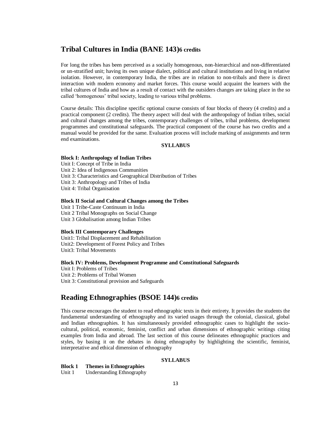# **Tribal Cultures in India (BANE 143)6 credits**

For long the tribes has been perceived as a socially homogenous, non-hierarchical and non-differentiated or un-stratified unit; having its own unique dialect, political and cultural institutions and living in relative isolation. However, in contemporary India, the tribes are in relation to non-tribals and there is direct interaction with modern economy and market forces. This course would acquaint the learners with the tribal cultures of India and how as a result of contact with the outsiders changes are taking place in the so called 'homogenous' tribal society, leading to various tribal problems.

Course details: This discipline specific optional course consists of four blocks of theory (4 credits) and a practical component (2 credits). The theory aspect will deal with the anthropology of Indian tribes, social and cultural changes among the tribes, contemporary challenges of tribes, tribal problems, development programmes and constitutional safeguards. The practical component of the course has two credits and a manual would be provided for the same. Evaluation process will include marking of assignments and term end examinations.

#### **SYLLABUS**

#### **Block I: Anthropology of Indian Tribes**

Unit I: Concept of Tribe in India Unit 2: Idea of Indigenous Communities Unit 3: Characteristics and Geographical Distribution of Tribes Unit 3: Anthropology and Tribes of India Unit 4: Tribal Organisation

#### **Block II Social and Cultural Changes among the Tribes**

Unit 1 Tribe-Caste Continuum in India Unit 2 Tribal Monographs on Social Change Unit 3 Globalisation among Indian Tribes

#### **Block III Contemporary Challenges**

Unit1: Tribal Displacement and Rehabilitation Unit2: Development of Forest Policy and Tribes Unit3: Tribal Movements

#### **Block IV: Problems, Development Programme and Constitutional Safeguards**

Unit I: Problems of Tribes Unit 2: Problems of Tribal Women Unit 3: Constitutional provision and Safeguards

# **Reading Ethnographies (BSOE 144)6 credits**

This course encourages the student to read ethnographic texts in their entirety. It provides the students the fundamental understanding of ethnography and its varied usages through the colonial, classical, global and Indian ethnographies. It has simultaneously provided ethnographic cases to highlight the sociocultural, political, economic, feminist, conflict and urban dimensions of ethnographic writings citing examples from India and abroad. The last section of this course delineates ethnographic practices and styles, by basing it on the debates in doing ethnography by highlighting the scientific, feminist, interpretative and ethical dimension of ethnography

#### **SYLLABUS**

#### **Block 1 Themes in Ethnographies**

Unit 1 Understanding Ethnography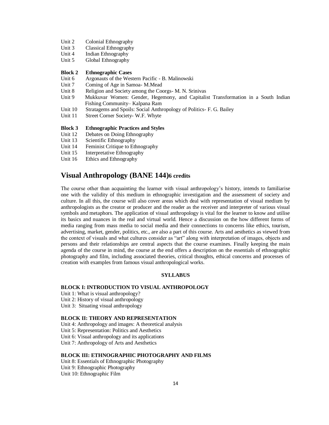- Unit 2 Colonial Ethnography
- Unit 3 Classical Ethnography
- Unit 4 Indian Ethnography
- Unit 5 Global Ethnography

#### **Block 2 Ethnographic Cases**

- Unit 6 Argonauts of the Western Pacific B. Malinowski
- Unit 7 Coming of Age in Samoa- M.Mead
- Unit 8 Religion and Society among the Coorgs- M. N. Srinivas
- Unit 9 Mukkuvar Women: Gender, Hegemony, and Capitalist Transformation in a South Indian Fishing Community– Kalpana Ram
- Unit 10 Stratagems and Spoils: Social Anthropology of Politics- F. G. Bailey
- Unit 11 Street Corner Society- W.F. Whyte

#### **Block 3 Ethnographic Practices and Styles**

- Unit 12 Debates on Doing Ethnography
- Unit 13 Scientific Ethnography
- Unit 14 Feminist Critique to Ethnography
- Unit 15 Interpretative Ethnography
- Unit 16 Ethics and Ethnography

# **Visual Anthropology (BANE 144)6 credits**

The course other than acquainting the learner with visual anthropology's history, intends to familiarise one with the validity of this medium in ethnographic investigation and the assessment of society and culture. In all this, the course will also cover areas which deal with representation of visual medium by anthropologists as the creator or producer and the reader as the receiver and interpreter of various visual symbols and metaphors. The application of visual anthropology is vital for the learner to know and utilise its basics and nuances in the real and virtual world. Hence a discussion on the how different forms of media ranging from mass media to social media and their connections to concerns like ethics, tourism, advertising, market, gender, politics, etc., are also a part of this course. Arts and aesthetics as viewed from the context of visuals and what cultures consider as "art" along with interpretation of images, objects and persons and their relationships are central aspects that the course examines. Finally keeping the main agenda of the course in mind, the course at the end offers a description on the essentials of ethnographic photography and film, including associated theories, critical thoughts, ethical concerns and processes of creation with examples from famous visual anthropological works.

#### **SYLLABUS**

#### **BLOCK I: INTRODUCTION TO VISUAL ANTHROPOLOGY**

Unit 1: What is visual anthropology?

- Unit 2: History of visual anthropology
- Unit 3: Situating visual anthropology

#### **BLOCK II: THEORY AND REPRESENTATION**

Unit 4: Anthropology and images: A theoretical analysis

- Unit 5: Representation: Politics and Aesthetics
- Unit 6: Visual anthropology and its applications
- Unit 7: Anthropology of Arts and Aesthetics

#### **BLOCK III: ETHNOGRAPHIC PHOTOGRAPHY AND FILMS**

Unit 8: Essentials of Ethnographic Photography Unit 9: Ethnographic Photography Unit 10: Ethnographic Film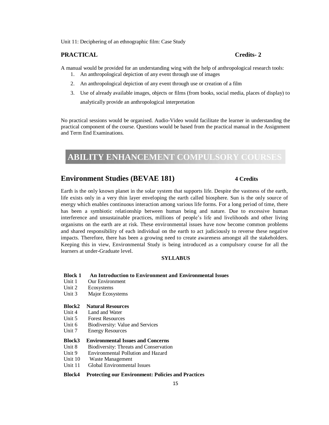Unit 11: Deciphering of an ethnographic film: Case Study

### **PRACTICAL Credits- 2**

A manual would be provided for an understanding wing with the help of anthropological research tools:

- 1. An anthropological depiction of any event through use of images
- 2. An anthropological depiction of any event through use or creation of a film
- 3. Use of already available images, objects or films (from books, social media, places of display) to analytically provide an anthropological interpretation

No practical sessions would be organised. Audio-Video would facilitate the learner in understanding the practical component of the course. Questions would be based from the practical manual in the Assignment and Term End Examinations.

# **ABILITY ENHANCEMENT COMPULSORY COURSES**

# **Environment Studies (BEVAE 181) 4 Credits**

Earth is the only known planet in the solar system that supports life. Despite the vastness of the earth, life exists only in a very thin layer enveloping the earth called biosphere. Sun is the only source of energy which enables continuous interaction among various life forms. For a long period of time, there has been a symbiotic relationship between human being and nature. Due to excessive human interference and unsustainable practices, millions of people's life and livelihoods and other living organisms on the earth are at risk. These environmental issues have now become common problems and shared responsibility of each individual on the earth to act judiciously to reverse these negative impacts. Therefore, there has been a growing need to create awareness amongst all the stakeholders. Keeping this in view, Environmental Study is being introduced as a compulsory course for all the learners at under-Graduate level.

#### **SYLLABUS**

- **Block 1 An Introduction to Environment and Environmental Issues**
- Unit 1 Our Environment
- Unit 2 Ecosystems
- Unit 3 Major Ecosystems

#### **Block2 Natural Resources**

- Unit 4 Land and Water
- Unit 5 Forest Resources
- Unit 6 Biodiversity: Value and Services<br>Unit 7 Energy Resources
- **Energy Resources**

#### **Block3 Environmental Issues and Concerns**

- Unit 8 Biodiversity: Threats and Conservation
- Unit 9 Environmental Pollution and Hazard
- Unit 10 Waste Management
- Unit 11 Global Environmental Issues

#### **Block4 Protecting our Environment: Policies and Practices**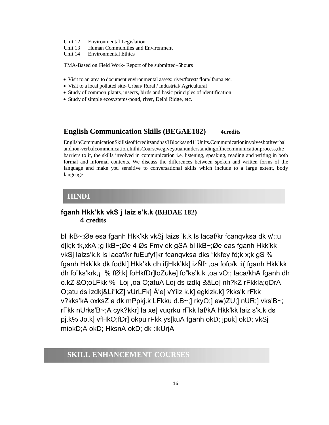- Unit 12 Environmental Legislation
- Unit 13 Human Communities and Environment
- Unit 14 Environmental Ethics

TMA-Based on Field Work- Report of be submitted–5hours

- Visit to an area to document environmental assets: river/forest/ flora/ fauna etc.
- Visit to a local polluted site- Urban/ Rural / Industrial/ Agricultural
- Study of common plants, insects, birds and basic principles of identification
- Study of simple ecosystems-pond, river, Delhi Ridge, etc.

### **English Communication Skills (BEGAE182)** 4credits

EnglishCommunicationSkillsisof4creditsandhas3Blocksand11Units.Communicationinvolvesbothverbal andnon-verbalcommunication.InthisCoursewegiveyouanunderstandingofthecommunicationprocess,the barriers to it, the skills involved in communication i.e. listening, speaking, reading and writing in both formal and informal contexts. We discuss the differences between spoken and written forms of the language and make you sensitive to conversational skills which include to a large extent, body language.

### **HINDI**

# **fganh Hkk'kk vkS j laiz s'k.k (BHDAE 182) 4 credits**

bl ikB~;Øe esa fganh Hkk'kk vkSj laizs 'k.k ls lacaf/kr fcanqvksa dk v/;;u djk;k tk,xkA ;g ikB~;Øe 4 Øs Fmv dk gSA bl ikB~;Øe eas fganh Hkk'kk vkSj laizs'k.k ls lacaf/kr fuEufyf[kr fcanqvksa dks "kkfey fd;k x;k gS % fganh Hkk'kk dk fodkl] Hkk'kk dh ifjHkk'kk] izÑfr ,oa fofo/k :i( fganh Hkk'kk dh fo"ks'krk,¡ % fØ;k] foHkfDr]loZuke] fo"ks'k.k ,oa vO;; laca/khA fganh dh o.kZ &O;oLFkk % Loj ,oa O;atuA Loj ds izdkj &âLo] nh?kZ rFkkla;qDrA O;atu ds izdkj&Li"kZ] vUrLFk] Å'e] vYiiz k.k] egkizk.k] ?kks'k rFkk v?kks'kA oxksZ a dk mPpkj.k LFkku d.B~;] rkyO;] ew)ZU;] nUR;] vks'B~; rFkk nUrks'B~;A cyk?kkr] la xe] vuqrku rFkk laf/kA Hkk'kk laiz s'k.k ds pj.k% Jo.k] vfHkO;fDr] okpu rFkk ys[kuA fganh okD; jpuk] okD; vkSj miokD;A okD; HksnA okD; dk :ikUrjA

# **SKILL ENHANCEMENT COURSES**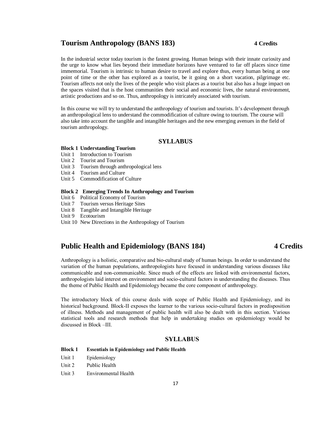# **Tourism Anthropology (BANS 183) 4 Credits**

In the industrial sector today tourism is the fastest growing. Human beings with their innate curiosity and the urge to know what lies beyond their immediate horizons have ventured to far off places since time immemorial. Tourism is intrinsic to human desire to travel and explore thus, every human being at one point of time or the other has explored as a tourist, be it going on a short vacation, pilgrimage etc. Tourism affects not only the lives of the people who visit places as a tourist but also has a huge impact on the spaces visited that is the host communities their social and economic lives, the natural environment, artistic productions and so on. Thus, anthropology is intricately associated with tourism.

In this course we will try to understand the anthropology of tourism and tourists. It's development through an anthropological lens to understand the commodification of culture owing to tourism. The course will also take into account the tangible and intangible heritages and the new emerging avenues in the field of tourism anthropology.

### **SYLLABUS**

#### **Block 1 Understanding Tourism**

- Unit 1 Introduction to Tourism
- Unit 2 Tourist and Tourism
- Unit 3 Tourism through anthropological lens
- Unit 4 Tourism and Culture
- Unit 5 Commodification of Culture

#### **Block 2 Emerging Trends In Anthropology and Tourism**

- Unit 6 Political Economy of Tourism
- Unit 7 Tourism versus Heritage Sites
- Unit 8 Tangible and Intangible Heritage
- Unit 9 Ecotourism
- Unit 10 New Directions in the Anthropology of Tourism

# **Public Health and Epidemiology (BANS 184) 4 Credits**

Anthropology is a holistic, comparative and bio-cultural study of human beings. In order to understand the variation of the human populations, anthropologists have focused in understanding various diseases like communicable and non-communicable. Since much of the effects are linked with environmental factors, anthropologists laid interest on environment and socio-cultural factors in understanding the diseases. Thus the theme of Public Health and Epidemiology became the core component of anthropology.

The introductory block of this course deals with scope of Public Health and Epidemiology, and its historical background. Block-II exposes the learner to the various socio-cultural factors in predisposition of illness. Methods and management of public health will also be dealt with in this section. Various statistical tools and research methods that help in undertaking studies on epidemiology would be discussed in Block –III.

#### **SYLLABUS**

#### **Block 1 Essentials in Epidemiology and Public Health**

- Unit 1 Epidemiology
- Unit 2 Public Health
- Unit 3 Environmental Health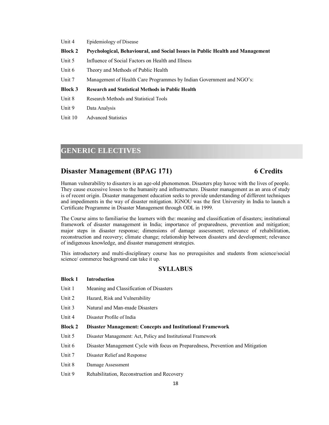| Unit 4         | Epidemiology of Disease                                                       |
|----------------|-------------------------------------------------------------------------------|
| <b>Block 2</b> | Psychological, Behavioural, and Social Issues in Public Health and Management |
| Unit 5         | Influence of Social Factors on Health and Illness                             |
| Unit 6         | Theory and Methods of Public Health                                           |
| Unit 7         | Management of Health Care Programmes by Indian Government and NGO's:          |
| <b>Block 3</b> | <b>Research and Statistical Methods in Public Health</b>                      |
| Unit 8         | Research Methods and Statistical Tools                                        |
| Unit 9         | Data Analysis                                                                 |
|                |                                                                               |
| Unit 10        | <b>Advanced Statistics</b>                                                    |

# **GENERIC ELECTIVES**

# **Disaster Management (BPAG 171) 6 Credits**

Human vulnerability to disasters is an age-old phenomenon. Disasters play havoc with the lives of people. They cause excessive losses to the humanity and infrastructure. Disaster management as an area of study is of recent origin. Disaster management education seeks to provide understanding of different techniques and impediments in the way of disaster mitigation. IGNOU was the first University in India to launch a Certificate Programme in Disaster Management through ODL in 1999.

The Course aims to familiarise the learners with the: meaning and classification of disasters; institutional framework of disaster management in India; importance of preparedness, prevention and mitigation; major steps in disaster response; dimensions of damage assessment; relevance of rehabilitation, reconstruction and recovery; climate change; relationship between disasters and development; relevance of indigenous knowledge, and disaster management strategies.

This introductory and multi-disciplinary course has no prerequisites and students from science/social science/ commerce background can take it up.

#### **SYLLABUS**

| Unit 1  | Meaning and Classification of Disasters                                         |
|---------|---------------------------------------------------------------------------------|
| Unit 2  | Hazard, Risk and Vulnerability                                                  |
| Unit 3  | Natural and Man-made Disasters                                                  |
| Unit 4  | Disaster Profile of India                                                       |
| Block 2 | <b>Disaster Management: Concepts and Institutional Framework</b>                |
| Unit 5  | Disaster Management: Act, Policy and Institutional Framework                    |
| Unit 6  | Disaster Management Cycle with focus on Preparedness, Prevention and Mitigation |
| Unit 7  | Disaster Relief and Response                                                    |

Unit 8 Damage Assessment

**Block 1 Introduction**

Unit 9 Rehabilitation, Reconstruction and Recovery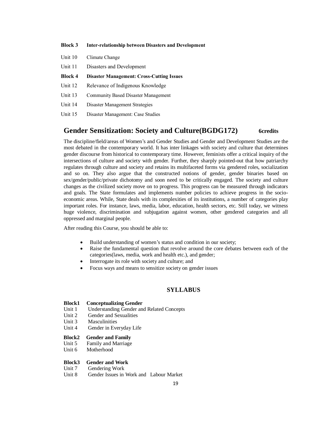#### **Block 3 Inter-relationship between Disasters and Development**

- Unit 10 Climate Change
- Unit 11 Disasters and Development
- **Block 4 Disaster Management: Cross-Cutting Issues**
- Unit 12 Relevance of Indigenous Knowledge
- Unit 13 Community Based Disaster Management
- Unit 14 Disaster Management Strategies
- Unit 15 Disaster Management: Case Studies

### **Gender Sensitization: Society and Culture(BGDG172) 6credits**

The discipline/field/areas of Women's and Gender Studies and Gender and Development Studies are the most debated in the contemporary world. It has inter linkages with society and culture that determines gender discourse from historical to contemporary time. However, feminists offer a critical inquiry of the intersections of culture and society with gender. Further, they sharply pointed-out that how patriarchy regulates through culture and society and retains its multifaceted forms via gendered roles, socialization and so on. They also argue that the constructed notions of gender, gender binaries based on sex/gender/public/private dichotomy and soon need to be critically engaged. The society and culture changes as the civilized society move on to progress. This progress can be measured through indicators and goals. The State formulates and implements number policies to achieve progress in the socioeconomic areas. While, State deals with its complexities of its institutions, a number of categories play important roles. For instance, laws, media, labor, education, health sectors, etc. Still today, we witness huge violence, discrimination and subjugation against women, other gendered categories and all oppressed and marginal people.

After reading this Course, you should be able to:

- Build understanding of women's status and condition in our society;
- Raise the fundamental question that revolve around the core debates between each of the categories(laws, media, work and health etc.), and gender;
- Interrogate its role with society and culture; and
- Focus ways and means to sensitize society on gender issues

### **SYLLABUS**

#### **Block1 Conceptualizing Gender**

- Unit 1 Understanding Gender and Related Concepts
- Unit 2 Gender and Sexualities
- Unit 3 Masculinities
- Unit 4 Gender in Everyday Life

#### **Block2 Gender and Family**

- Unit 5 Family and Marriage
- Unit 6 Motherhood

#### **Block3 Gender and Work**

- Unit 7 Gendering Work
- Unit 8 Gender Issues in Work and Labour Market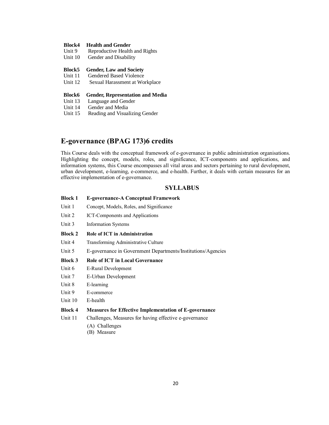#### **Block4 Health and Gender**

| Unit 9 | Reproductive Health and Rights |  |  |
|--------|--------------------------------|--|--|
|--------|--------------------------------|--|--|

Unit 10 Gender and Disability

#### **Block5 Gender, Law and Society**

Unit 11 Gendered Based Violence

Unit 12 Sexual Harassment at Workplace

#### **Block6 Gender, Representation and Media**

- Unit 13 Language and Gender
- Unit 14 Gender and Media
- Unit 15 Reading and Visualizing Gender

# **E-governance (BPAG 173)6 credits**

This Course deals with the conceptual framework of e-governance in public administration organisations. Highlighting the concept, models, roles, and significance, ICT-components and applications, and information systems, this Course encompasses all vital areas and sectors pertaining to rural development, urban development, e-learning, e-commerce, and e-health. Further, it deals with certain measures for an effective implementation of e-governance.

#### **SYLLABUS**

| <b>Block 1</b> | <b>E-governance-A Conceptual Framework</b>                   |
|----------------|--------------------------------------------------------------|
| Unit 1         | Concept, Models, Roles, and Significance                     |
| Unit 2         | ICT-Components and Applications                              |
| Unit 3         | <b>Information Systems</b>                                   |
| <b>Block 2</b> | <b>Role of ICT in Administration</b>                         |
| Unit 4         | Transforming Administrative Culture                          |
| Unit 5         | E-governance in Government Departments/Institutions/Agencies |
| <b>Block 3</b> | <b>Role of ICT in Local Governance</b>                       |
| Unit 6         | E-Rural Development                                          |
| Unit 7         | E-Urban Development                                          |
| Unit 8         | E-learning                                                   |
| Unit 9         | E-commerce                                                   |
| Unit 10        | E-health                                                     |
| <b>Block 4</b> | <b>Measures for Effective Implementation of E-governance</b> |
| Unit 11        | Challenges, Measures for having effective e-governance       |
|                | (A) Challenges                                               |

(B) Measure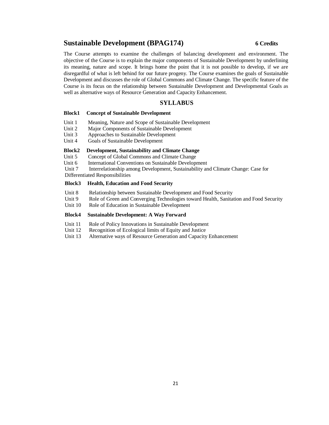# **Sustainable Development (BPAG174) 6 Credits**

The Course attempts to examine the challenges of balancing development and environment. The objective of the Course is to explain the major components of Sustainable Development by underlining its meaning, nature and scope. It brings home the point that it is not possible to develop, if we are disregardful of what is left behind for our future progeny. The Course examines the goals of Sustainable Development and discusses the role of Global Commons and Climate Change. The specific feature of the Course is its focus on the relationship between Sustainable Development and Developmental Goals as well as alternative ways of Resource Generation and Capacity Enhancement.

#### **SYLLABUS**

#### **Block1 Concept of Sustainable Development**

- Unit 1 Meaning, Nature and Scope of Sustainable Development
- Unit 2 Major Components of Sustainable Development
- Unit 3 Approaches to Sustainable Development
- Unit 4 Goals of Sustainable Development

#### **Block2 Development, Sustainability and Climate Change**

Unit 5 Concept of Global Commons and Climate Change

Unit 6 International Conventions on Sustainable Development

Unit 7 Interrelationship among Development, Sustainability and Climate Change: Case for

Differentiated Responsibilities

#### **Block3 Health, Education and Food Security**

- Unit 8 Relationship between Sustainable Development and Food Security
- Unit 9 Role of Green and Converging Technologies toward Health, Sanitation and Food Security
- Unit 10 Role of Education in Sustainable Development

#### **Block4 Sustainable Development: A Way Forward**

- Unit 11 Role of Policy Innovations in Sustainable Development<br>Unit 12 Recognition of Ecological limits of Equity and Justice
- Recognition of Ecological limits of Equity and Justice
- Unit 13 Alternative ways of Resource Generation and Capacity Enhancement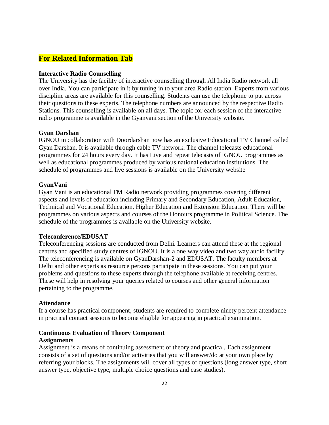# **For Related Information Tab**

### **Interactive Radio Counselling**

The University has the facility of interactive counselling through All India Radio network all over India. You can participate in it by tuning in to your area Radio station. Experts from various discipline areas are available for this counselling. Students can use the telephone to put across their questions to these experts. The telephone numbers are announced by the respective Radio Stations. This counselling is available on all days. The topic for each session of the interactive radio programme is available in the Gyanvani section of the University website.

### **Gyan Darshan**

IGNOU in collaboration with Doordarshan now has an exclusive Educational TV Channel called Gyan Darshan. It is available through cable TV network. The channel telecasts educational programmes for 24 hours every day. It has Live and repeat telecasts of IGNOU programmes as well as educational programmes produced by various national education institutions. The schedule of programmes and live sessions is available on the University website

### **GyanVani**

Gyan Vani is an educational FM Radio network providing programmes covering different aspects and levels of education including Primary and Secondary Education, Adult Education, Technical and Vocational Education, Higher Education and Extension Education. There will be programmes on various aspects and courses of the Honours programme in Political Science. The schedule of the programmes is available on the University website.

### **Teleconference/EDUSAT**

Teleconferencing sessions are conducted from Delhi. Learners can attend these at the regional centres and specified study centres of IGNOU. It is a one way video and two way audio facility. The teleconferencing is available on GyanDarshan-2 and EDUSAT. The faculty members at Delhi and other experts as resource persons participate in these sessions. You can put your problems and questions to these experts through the telephone available at receiving centres. These will help in resolving your queries related to courses and other general information pertaining to the programme.

### **Attendance**

If a course has practical component, students are required to complete ninety percent attendance in practical contact sessions to become eligible for appearing in practical examination.

#### **Continuous Evaluation of Theory Component**

#### **Assignments**

Assignment is a means of continuing assessment of theory and practical. Each assignment consists of a set of questions and/or activities that you will answer/do at your own place by referring your blocks. The assignments will cover all types of questions (long answer type, short answer type, objective type, multiple choice questions and case studies).